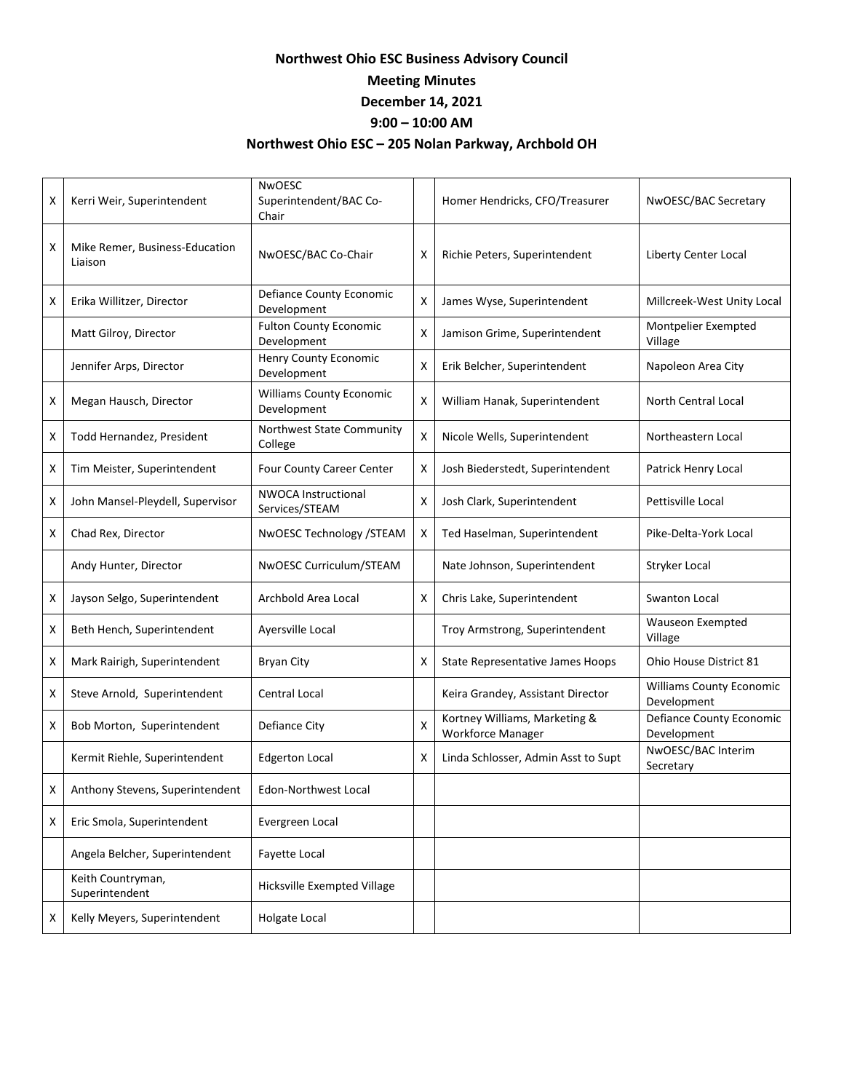## **Northwest Ohio ESC Business Advisory Council**

## **Meeting Minutes**

**December 14, 2021**

## **9:00 – 10:00 AM**

## **Northwest Ohio ESC – 205 Nolan Parkway, Archbold OH**

| X | Kerri Weir, Superintendent                | <b>NWOESC</b><br>Superintendent/BAC Co-<br>Chair |   | Homer Hendricks, CFO/Treasurer                     | NwOESC/BAC Secretary                           |
|---|-------------------------------------------|--------------------------------------------------|---|----------------------------------------------------|------------------------------------------------|
| X | Mike Remer, Business-Education<br>Liaison | NwOESC/BAC Co-Chair                              | x | Richie Peters, Superintendent                      | Liberty Center Local                           |
| x | Erika Willitzer, Director                 | Defiance County Economic<br>Development          | x | James Wyse, Superintendent                         | Millcreek-West Unity Local                     |
|   | Matt Gilroy, Director                     | <b>Fulton County Economic</b><br>Development     | x | Jamison Grime, Superintendent                      | Montpelier Exempted<br>Village                 |
|   | Jennifer Arps, Director                   | <b>Henry County Economic</b><br>Development      | Χ | Erik Belcher, Superintendent                       | Napoleon Area City                             |
| x | Megan Hausch, Director                    | <b>Williams County Economic</b><br>Development   | x | William Hanak, Superintendent                      | North Central Local                            |
| x | Todd Hernandez, President                 | Northwest State Community<br>College             | x | Nicole Wells, Superintendent                       | Northeastern Local                             |
| X | Tim Meister, Superintendent               | Four County Career Center                        | X | Josh Biederstedt, Superintendent                   | Patrick Henry Local                            |
| x | John Mansel-Pleydell, Supervisor          | <b>NWOCA Instructional</b><br>Services/STEAM     | X | Josh Clark, Superintendent                         | Pettisville Local                              |
| X | Chad Rex, Director                        | NwOESC Technology /STEAM                         | X | Ted Haselman, Superintendent                       | Pike-Delta-York Local                          |
|   | Andy Hunter, Director                     | NwOESC Curriculum/STEAM                          |   | Nate Johnson, Superintendent                       | Stryker Local                                  |
| x | Jayson Selgo, Superintendent              | Archbold Area Local                              | X | Chris Lake, Superintendent                         | Swanton Local                                  |
| x | Beth Hench, Superintendent                | Ayersville Local                                 |   | Troy Armstrong, Superintendent                     | <b>Wauseon Exempted</b><br>Village             |
| x | Mark Rairigh, Superintendent              | <b>Bryan City</b>                                | х | State Representative James Hoops                   | Ohio House District 81                         |
| x | Steve Arnold, Superintendent              | Central Local                                    |   | Keira Grandey, Assistant Director                  | <b>Williams County Economic</b><br>Development |
| X | Bob Morton, Superintendent                | Defiance City                                    | X | Kortney Williams, Marketing &<br>Workforce Manager | <b>Defiance County Economic</b><br>Development |
|   | Kermit Riehle, Superintendent             | <b>Edgerton Local</b>                            | x | Linda Schlosser, Admin Asst to Supt                | NwOESC/BAC Interim<br>Secretary                |
| х | Anthony Stevens, Superintendent           | <b>Edon-Northwest Local</b>                      |   |                                                    |                                                |
| x | Eric Smola, Superintendent                | Evergreen Local                                  |   |                                                    |                                                |
|   | Angela Belcher, Superintendent            | <b>Favette Local</b>                             |   |                                                    |                                                |
|   | Keith Countryman,<br>Superintendent       | Hicksville Exempted Village                      |   |                                                    |                                                |
| Χ | Kelly Meyers, Superintendent              | Holgate Local                                    |   |                                                    |                                                |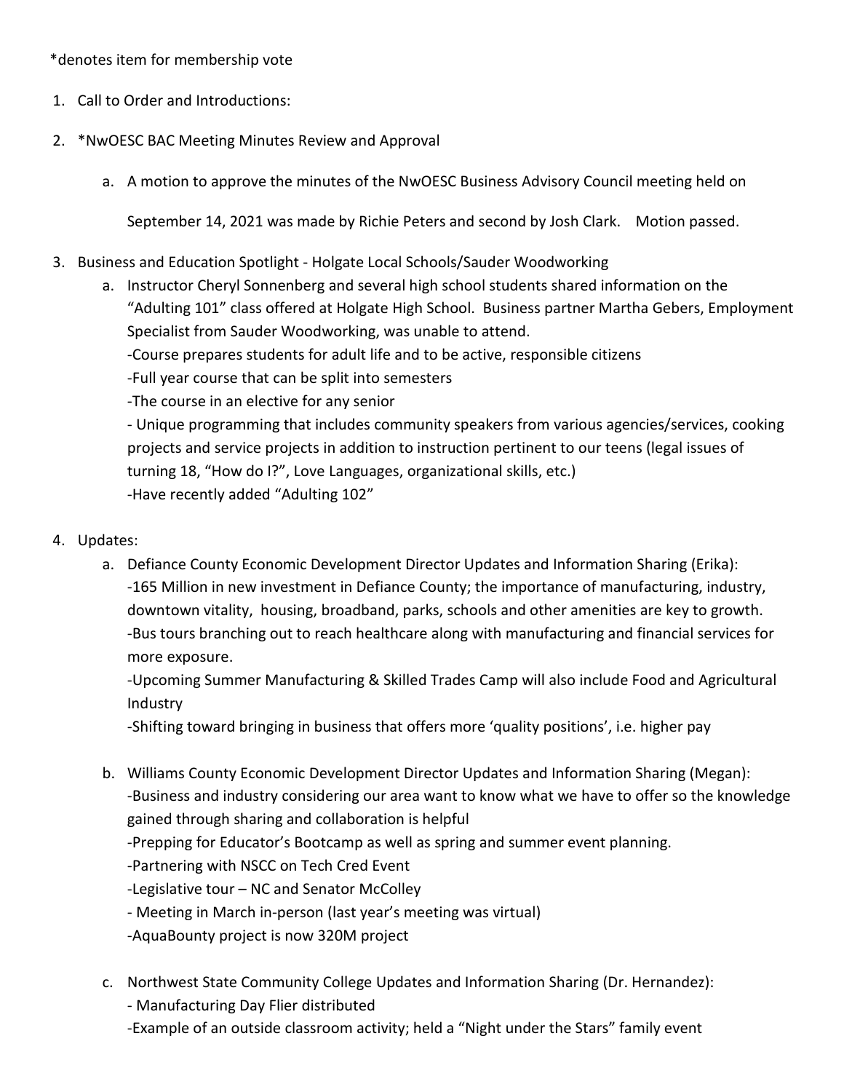\*denotes item for membership vote

- 1. Call to Order and Introductions:
- 2. \*NwOESC BAC Meeting Minutes Review and Approval
	- a. A motion to approve the minutes of the NwOESC Business Advisory Council meeting held on

September 14, 2021 was made by Richie Peters and second by Josh Clark. Motion passed.

- 3. Business and Education Spotlight Holgate Local Schools/Sauder Woodworking
	- a. Instructor Cheryl Sonnenberg and several high school students shared information on the "Adulting 101" class offered at Holgate High School. Business partner Martha Gebers, Employment Specialist from Sauder Woodworking, was unable to attend. -Course prepares students for adult life and to be active, responsible citizens
		- -Full year course that can be split into semesters
		- -The course in an elective for any senior

- Unique programming that includes community speakers from various agencies/services, cooking projects and service projects in addition to instruction pertinent to our teens (legal issues of turning 18, "How do I?", Love Languages, organizational skills, etc.) -Have recently added "Adulting 102"

- 4. Updates:
	- a. Defiance County Economic Development Director Updates and Information Sharing (Erika): -165 Million in new investment in Defiance County; the importance of manufacturing, industry, downtown vitality, housing, broadband, parks, schools and other amenities are key to growth. -Bus tours branching out to reach healthcare along with manufacturing and financial services for more exposure.

-Upcoming Summer Manufacturing & Skilled Trades Camp will also include Food and Agricultural Industry

-Shifting toward bringing in business that offers more 'quality positions', i.e. higher pay

- b. Williams County Economic Development Director Updates and Information Sharing (Megan): -Business and industry considering our area want to know what we have to offer so the knowledge gained through sharing and collaboration is helpful -Prepping for Educator's Bootcamp as well as spring and summer event planning. -Partnering with NSCC on Tech Cred Event -Legislative tour – NC and Senator McColley - Meeting in March in-person (last year's meeting was virtual) -AquaBounty project is now 320M project
- c. Northwest State Community College Updates and Information Sharing (Dr. Hernandez): - Manufacturing Day Flier distributed -Example of an outside classroom activity; held a "Night under the Stars" family event